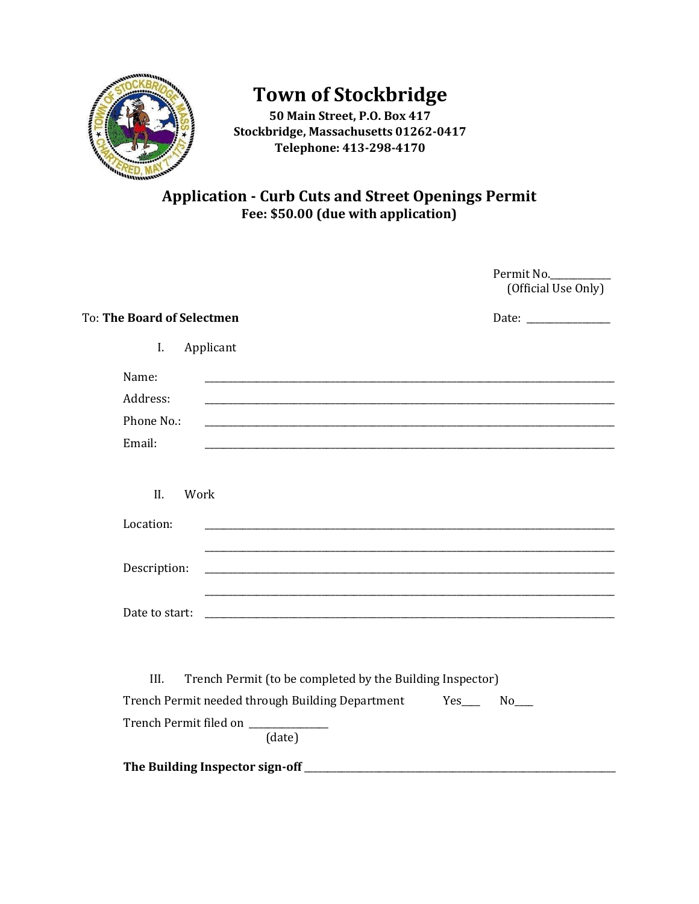

# **Town of Stockbridge**

**50 Main Street, P.O. Box 417 Stockbridge, Massachusetts 01262-0417 Telephone: 413-298-4170**

## **Application - Curb Cuts and Street Openings Permit Fee: \$50.00 (due with application)**

|                                                                                                                                   | Permit No.<br>(Official Use Only) |
|-----------------------------------------------------------------------------------------------------------------------------------|-----------------------------------|
| To: The Board of Selectmen                                                                                                        |                                   |
| I.<br>Applicant                                                                                                                   |                                   |
| Name:                                                                                                                             |                                   |
| Address:<br>and the control of the control of the control of the control of the control of the control of the control of the      |                                   |
| Phone No.:                                                                                                                        |                                   |
| Email:                                                                                                                            |                                   |
| II.<br>Work                                                                                                                       |                                   |
| Location:                                                                                                                         |                                   |
| Description:                                                                                                                      |                                   |
| Date to start:                                                                                                                    |                                   |
| III.<br>Trench Permit (to be completed by the Building Inspector)<br>Trench Permit needed through Building Department Yes___ No__ |                                   |
| Trench Permit filed on ____________<br>(date)                                                                                     |                                   |
| The Building Inspector sign-off                                                                                                   |                                   |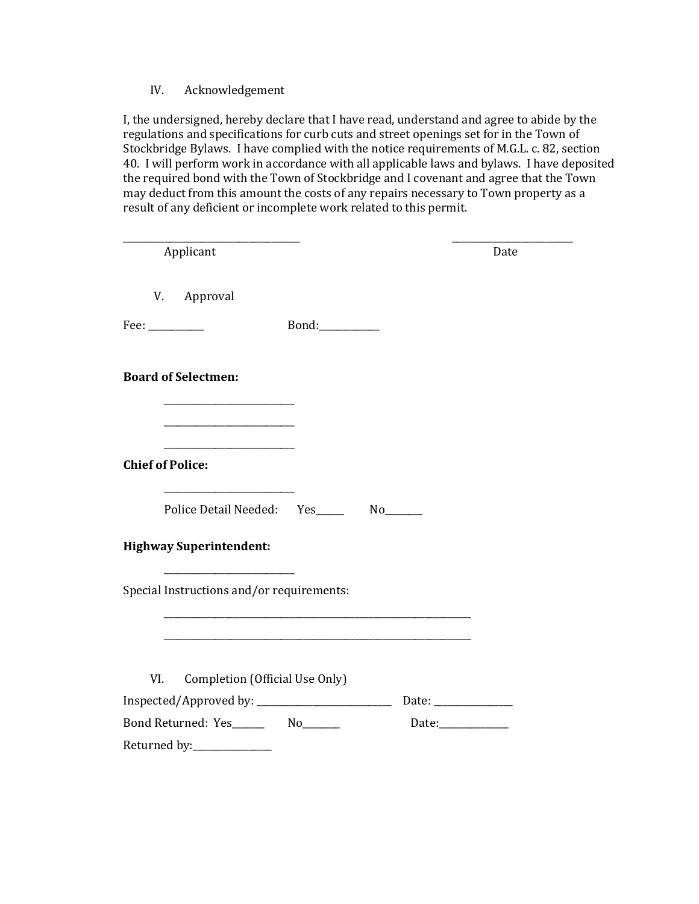IV. Acknowledgement

I, the undersigned, hereby declare that I have read, understand and agree to abide by the regulations and specifications for curb cuts and street openings set for in the Town of Stockbridge Bylaws. I have complied with the notice requirements of M.G.L. c. 82, section 40. I will perform work in accordance with all applicable laws and bylaws. I have deposited the required bond with the Town of Stockbridge and I covenant and agree that the Town may deduct from this amount the costs of any repairs necessary to Town property as a result of any deficient or incomplete work related to this permit.

| Applicant                                                                                                                                                                | Date                      |
|--------------------------------------------------------------------------------------------------------------------------------------------------------------------------|---------------------------|
| V. Approval                                                                                                                                                              |                           |
| Fee: $\frac{1}{2}$                                                                                                                                                       |                           |
| <b>Board of Selectmen:</b>                                                                                                                                               |                           |
| the control of the control of the control of the<br><u> 1980 - Johann John Stone, mars eta bainar eta industrial eta industrial eta industrial eta industrial eta in</u> |                           |
| <b>Chief of Police:</b>                                                                                                                                                  |                           |
| the control of the control of the control of<br>Police Detail Needed: Yes________ No_______                                                                              |                           |
| <b>Highway Superintendent:</b>                                                                                                                                           |                           |
| <u> 1989 - Johann Barn, mars eta bainar eta i</u><br>Special Instructions and/or requirements:                                                                           |                           |
|                                                                                                                                                                          |                           |
| Completion (Official Use Only)<br>VI.                                                                                                                                    |                           |
|                                                                                                                                                                          |                           |
|                                                                                                                                                                          | Date: $\frac{1}{2}$ Date: |
| Returned by:_______________                                                                                                                                              |                           |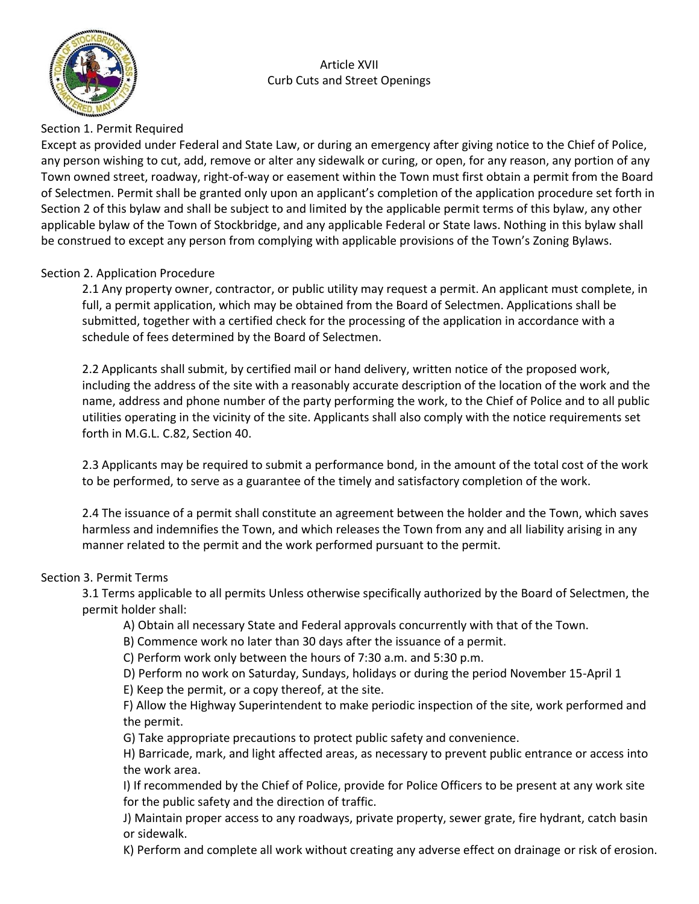

#### Article XVII Curb Cuts and Street Openings

#### Section 1. Permit Required

Except as provided under Federal and State Law, or during an emergency after giving notice to the Chief of Police, any person wishing to cut, add, remove or alter any sidewalk or curing, or open, for any reason, any portion of any Town owned street, roadway, right-of-way or easement within the Town must first obtain a permit from the Board of Selectmen. Permit shall be granted only upon an applicant's completion of the application procedure set forth in Section 2 of this bylaw and shall be subject to and limited by the applicable permit terms of this bylaw, any other applicable bylaw of the Town of Stockbridge, and any applicable Federal or State laws. Nothing in this bylaw shall be construed to except any person from complying with applicable provisions of the Town's Zoning Bylaws.

#### Section 2. Application Procedure

2.1 Any property owner, contractor, or public utility may request a permit. An applicant must complete, in full, a permit application, which may be obtained from the Board of Selectmen. Applications shall be submitted, together with a certified check for the processing of the application in accordance with a schedule of fees determined by the Board of Selectmen.

2.2 Applicants shall submit, by certified mail or hand delivery, written notice of the proposed work, including the address of the site with a reasonably accurate description of the location of the work and the name, address and phone number of the party performing the work, to the Chief of Police and to all public utilities operating in the vicinity of the site. Applicants shall also comply with the notice requirements set forth in M.G.L. C.82, Section 40.

2.3 Applicants may be required to submit a performance bond, in the amount of the total cost of the work to be performed, to serve as a guarantee of the timely and satisfactory completion of the work.

2.4 The issuance of a permit shall constitute an agreement between the holder and the Town, which saves harmless and indemnifies the Town, and which releases the Town from any and all liability arising in any manner related to the permit and the work performed pursuant to the permit.

### Section 3. Permit Terms

3.1 Terms applicable to all permits Unless otherwise specifically authorized by the Board of Selectmen, the permit holder shall:

A) Obtain all necessary State and Federal approvals concurrently with that of the Town.

B) Commence work no later than 30 days after the issuance of a permit.

C) Perform work only between the hours of 7:30 a.m. and 5:30 p.m.

D) Perform no work on Saturday, Sundays, holidays or during the period November 15-April 1

E) Keep the permit, or a copy thereof, at the site.

F) Allow the Highway Superintendent to make periodic inspection of the site, work performed and the permit.

G) Take appropriate precautions to protect public safety and convenience.

H) Barricade, mark, and light affected areas, as necessary to prevent public entrance or access into the work area.

I) If recommended by the Chief of Police, provide for Police Officers to be present at any work site for the public safety and the direction of traffic.

J) Maintain proper access to any roadways, private property, sewer grate, fire hydrant, catch basin or sidewalk.

K) Perform and complete all work without creating any adverse effect on drainage or risk of erosion.